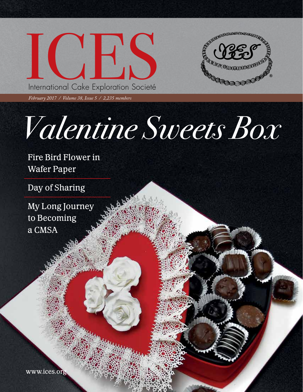



February 2017 / ICES Newsletter 1

*February 2017 / Volume 38, Issue 5 / 2,235 members*

## *Valentine Sweets Box*

Fire Bird Flower in Wafer Paper

Day of Sharing

My Long Journey to Becoming a CMSA

www.ices.org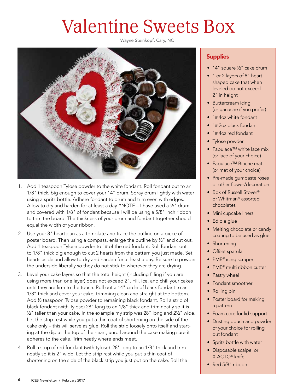### Valentine Sweets Box

Wayne Steinkopf, Cary, NC



- 1. Add 1 teaspoon Tylose powder to the white fondant. Roll fondant out to an 1/8" thick, big enough to cover your 14" drum. Spray drum lightly with water using a spritz bottle. Adhere fondant to drum and trim even with edges. Allow to dry and harden for at least a day. \*NOTE – I have used a ½" drum and covered with 1/8" of fondant because I will be using a 5/8" inch ribbon to trim the board. The thickness of your drum and fondant together should equal the width of your ribbon.
- 2. Use your 8" heart pan as a template and trace the outline on a piece of poster board. Then using a compass, enlarge the outline by ½" and cut out. Add 1 teaspoon Tylose powder to 1# of the red fondant. Roll fondant out to 1/8" thick big enough to cut 2 hearts from the pattern you just made. Set hearts aside and allow to dry and harden for at least a day. Be sure to powder the underside liberally so they do not stick to wherever they are drying.
- 3. Level your cake layers so that the total height (including filling if you are using more than one layer) does not exceed 2". Fill, ice, and chill your cakes until they are firm to the touch. Roll out a 14" circle of black fondant to an 1/8" thick and cover your cake, trimming clean and straight at the bottom. Add ½ teaspoon Tylose powder to remaining black fondant. Roll a strip of black fondant (with Tylose) 28" long to an 1/8" thick and trim neatly so it is ½" taller than your cake. In the example my strip was 28" long and 2½" wide. Let the strip rest while you put a thin coat of shortening on the side of the cake only – this will serve as glue. Roll the strip loosely onto itself and starting at the dip at the top of the heart, unroll around the cake making sure it adheres to the cake. Trim neatly where ends meet.
- 4. Roll a strip of red fondant (with tylose) 28" long to an 1/8" thick and trim neatly so it is 2" wide. Let the strip rest while you put a thin coat of shortening on the side of the black strip you just put on the cake. Roll the

#### **Supplies**

- 14" square ½" cake drum
- 1 or 2 layers of 8" heart shaped cake that when leveled do not exceed 2" in height
- Buttercream icing (or ganache if you prefer)
- 1# 4oz white fondant
- 1# 2oz black fondant
- 1# 4oz red fondant
- Tylose powder
- Fabulace™ white lace mix (or lace of your choice)
- Fabulace™ Binche mat (or mat of your choice)
- Pre-made gumpaste roses or other flower/decoration
- Box of Russell Stover® or Whitman® assorted chocolates
- Mini cupcake liners
- Edible glue
- Melting chocolate or candy coating to be used as glue
- Shortening
- Offset spatula
- PME<sup>®</sup> icing scraper
- PME® multi ribbon cutter
- Pastry wheel
- Fondant smoother
- Rolling pin
- Poster board for making a pattern
- Foam core for lid support
- Dusting pouch and powder of your choice for rolling out fondant
- Spritz bottle with water
- Disposable scalpel or X-ACTO® knife
- Red 5/8" ribbon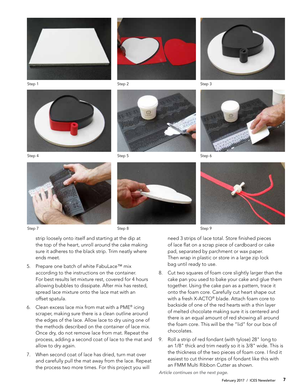



Step 2

Step 5



Step 3



Step 6





Step 9

need 3 strips of lace total. Store finished pieces of lace flat on a scrap piece of cardboard or cake pad, separated by parchment or wax paper. Then wrap in plastic or store in a large zip lock bag until ready to use.

- 8. Cut two squares of foam core slightly larger than the cake pan you used to bake your cake and glue them together. Using the cake pan as a pattern, trace it onto the foam core. Carefully cut heart shape out with a fresh X-ACTO® blade. Attach foam core to backside of one of the red hearts with a thin layer of melted chocolate making sure it is centered and there is an equal amount of red showing all around the foam core. This will be the "lid" for our box of chocolates.
- 9. Roll a strip of red fondant (with tylose) 28" long to an 1/8" thick and trim neatly so it is 3/8" wide. This is the thickness of the two pieces of foam core. I find it easiest to cut thinner strips of fondant like this with an FMM Multi Ribbon Cutter as shown.

*Article continues on the next page.* 

# Step 7



Step 4

Step 8

strip loosely onto itself and starting at the dip at the top of the heart, unroll around the cake making sure it adheres to the black strip. Trim neatly where ends meet.

- 5. Prepare one batch of white FabuLace™ mix according to the instructions on the container. For best results let mixture rest, covered for 4 hours allowing bubbles to dissipate. After mix has rested, spread lace mixture onto the lace mat with an offset spatula.
- 6. Clean excess lace mix from mat with a PME® icing scraper, making sure there is a clean outline around the edges of the lace. Allow lace to dry using one of the methods described on the container of lace mix. Once dry, do not remove lace from mat. Repeat the process, adding a second coat of lace to the mat and allow to dry again.
- 7. When second coat of lace has dried, turn mat over and carefully pull the mat away from the lace. Repeat the process two more times. For this project you will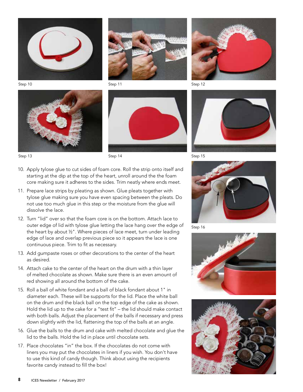

Step 10







Step 11





Step 12



Step 15

- 10. Apply tylose glue to cut sides of foam core. Roll the strip onto itself and starting at the dip at the top of the heart, unroll around the the foam core making sure it adheres to the sides. Trim neatly where ends meet.
- 11. Prepare lace strips by pleating as shown. Glue pleats together with tylose glue making sure you have even spacing between the pleats. Do not use too much glue in this step or the moisture from the glue will dissolve the lace.
- 12. Turn "lid" over so that the foam core is on the bottom. Attach lace to outer edge of lid with tylose glue letting the lace hang over the edge of the heart by about ½". Where pieces of lace meet, turn under leading edge of lace and overlap previous piece so it appears the lace is one continuous piece. Trim to fit as necessary.
- 13. Add gumpaste roses or other decorations to the center of the heart as desired.
- 14. Attach cake to the center of the heart on the drum with a thin layer of melted chocolate as shown. Make sure there is an even amount of red showing all around the bottom of the cake.
- 15. Roll a ball of white fondant and a ball of black fondant about 1" in diameter each. These will be supports for the lid. Place the white ball on the drum and the black ball on the top edge of the cake as shown. Hold the lid up to the cake for a "test fit" – the lid should make contact with both balls. Adjust the placement of the balls if necessary and press down slightly with the lid, flattening the top of the balls at an angle.
- 16. Glue the balls to the drum and cake with melted chocolate and glue the lid to the balls. Hold the lid in place until chocolate sets.
- 17. Place chocolates "in" the box. If the chocolates do not come with liners you may put the chocolates in liners if you wish. You don't have to use this kind of candy though. Think about using the recipients favorite candy instead to fill the box!



Step 16